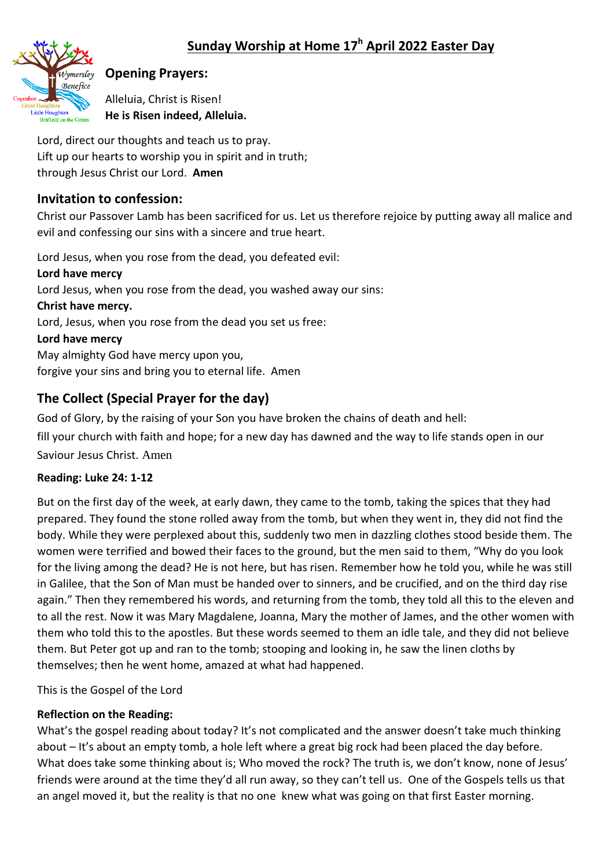

# **Opening Prayers:**

Alleluia, Christ is Risen! **He is Risen indeed, Alleluia.**

Lord, direct our thoughts and teach us to pray. Lift up our hearts to worship you in spirit and in truth; through Jesus Christ our Lord. **Amen**

# **Invitation to confession:**

Christ our Passover Lamb has been sacrificed for us. Let us therefore rejoice by putting away all malice and evil and confessing our sins with a sincere and true heart.

Lord Jesus, when you rose from the dead, you defeated evil: **Lord have mercy**  Lord Jesus, when you rose from the dead, you washed away our sins: **Christ have mercy.**  Lord, Jesus, when you rose from the dead you set us free: **Lord have mercy**  May almighty God have mercy upon you, forgive your sins and bring you to eternal life. Amen

# **The Collect (Special Prayer for the day)**

God of Glory, by the raising of your Son you have broken the chains of death and hell: fill your church with faith and hope; for a new day has dawned and the way to life stands open in our Saviour Jesus Christ. Amen

# **Reading: Luke 24: 1-12**

But on the first day of the week, at early dawn, they came to the tomb, taking the spices that they had prepared. They found the stone rolled away from the tomb, but when they went in, they did not find the body. While they were perplexed about this, suddenly two men in dazzling clothes stood beside them. The women were terrified and bowed their faces to the ground, but the men said to them, "Why do you look for the living among the dead? He is not here, but has risen. Remember how he told you, while he was still in Galilee, that the Son of Man must be handed over to sinners, and be crucified, and on the third day rise again." Then they remembered his words, and returning from the tomb, they told all this to the eleven and to all the rest. Now it was Mary Magdalene, Joanna, Mary the mother of James, and the other women with them who told this to the apostles. But these words seemed to them an idle tale, and they did not believe them. But Peter got up and ran to the tomb; stooping and looking in, he saw the linen cloths by themselves; then he went home, amazed at what had happened.

This is the Gospel of the Lord

# **Reflection on the Reading:**

What's the gospel reading about today? It's not complicated and the answer doesn't take much thinking about – It's about an empty tomb, a hole left where a great big rock had been placed the day before. What does take some thinking about is; Who moved the rock? The truth is, we don't know, none of Jesus' friends were around at the time they'd all run away, so they can't tell us. One of the Gospels tells us that an angel moved it, but the reality is that no one knew what was going on that first Easter morning.